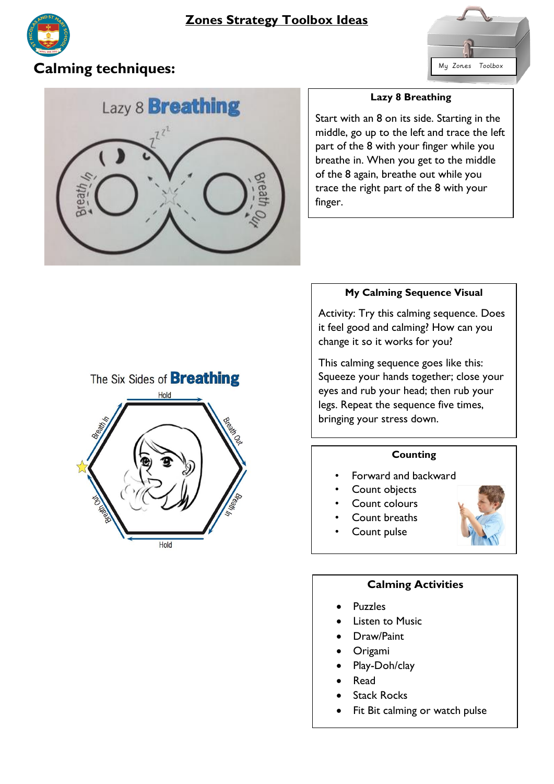



# **Calming techniques:**  $\begin{array}{c} \hline \text{My Zones} & \text{Tools} \end{array}$



### **Lazy 8 Breathing**

Start with an 8 on its side. Starting in the middle, go up to the left and trace the left part of the 8 with your finger while you breathe in. When you get to the middle of the 8 again, breathe out while you trace the right part of the 8 with your finger.

## **My Calming Sequence Visual**

Activity: Try this calming sequence. Does it feel good and calming? How can you change it so it works for you?

This calming sequence goes like this: Squeeze your hands together; close your eyes and rub your head; then rub your legs. Repeat the sequence five times, bringing your stress down.

## **Counting**

- Forward and backward
- Count objects
- Count colours
- Count breaths
- Count pulse



## **Calming Activities**

- Puzzles
- Listen to Music
- Draw/Paint
- Origami
- Play-Doh/clay
- Read
- Stack Rocks
- Fit Bit calming or watch pulse

# The Six Sides of **Breathing**

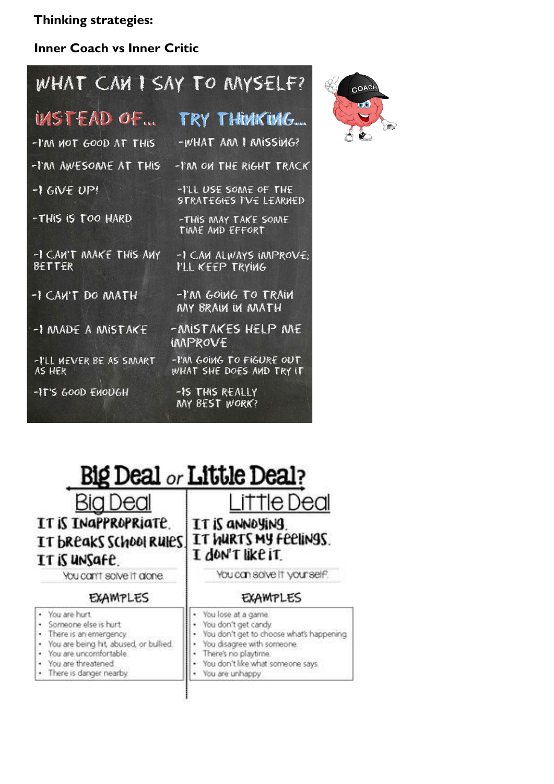**Thinking strategies:** 

# **Inner Coach vs Inner Critic**

# WHAT CAN I SAY TO MYSELF?

| INSTEAD OF                              | TRY THUNKUNG                                            |
|-----------------------------------------|---------------------------------------------------------|
| -I'M MOT GOOD AT THIS                   | -WHAT ANN I MISSING?                                    |
| -I'M AWESOMNE AT THIS                   | -I'M ON THE RIGHT TRACK                                 |
| $-1$ GIVE UP!                           | -I'LL USE SOME OF THE<br><b>STRATEGIES I'VE LEARNED</b> |
| -THIS IS TOO HARD                       | -THIS MAY TAKE SOME<br>TIME AND EFFORT                  |
| -I CAN'T MAKE THIS ANY<br><b>BETTER</b> | -I CAN ALWAYS IMPROVE;<br>I'LL KEEP TRYING              |
| -I CAN'T DO MATH                        | -I'M GOING TO TRAIN<br>MY BRAIN IN MATH                 |
| -I MADE A MISTAKE                       | -ANISTAKES HELP ANE<br>IMPROVE                          |
| -I'LL WEVER BE AS SMART<br>AS HER       | -I'M GOING TO FIGURE OUT<br>WHAT SHE DOES AMD TRY IT    |
| -IT'S GOOD ENOUGH                       | -IS THIS REALLY<br>MY BEST WORK?                        |



## **Big Deal or Little Deal?** Bia Dea IT IS INGPPROPRIATE IT IS ANNOYING IT WIRTS MY FEELINGS. IT bREAKS SCHOOL RUIES I don't like it

# IT IS UNSAFE.

· You are hurt

· You are threatened

You can't solve it alone.

## **EXAMPLES**

#### **EXAMPLES**

You can solve it your self.

e Deal

 $\overline{\phantom{a}}$ You lose at a game. · Someone else is hurt ¥ You don't get candy. · There is an emergency. ٠ You don't get to choose what's happening. · You are being hit, abused, or bullied. ٠ You disagree with someone. ÷ · You are uncomfortable. There's no playtime. You don't like what someone says. ٠ · There is danger nearby ¥ You are unhappy